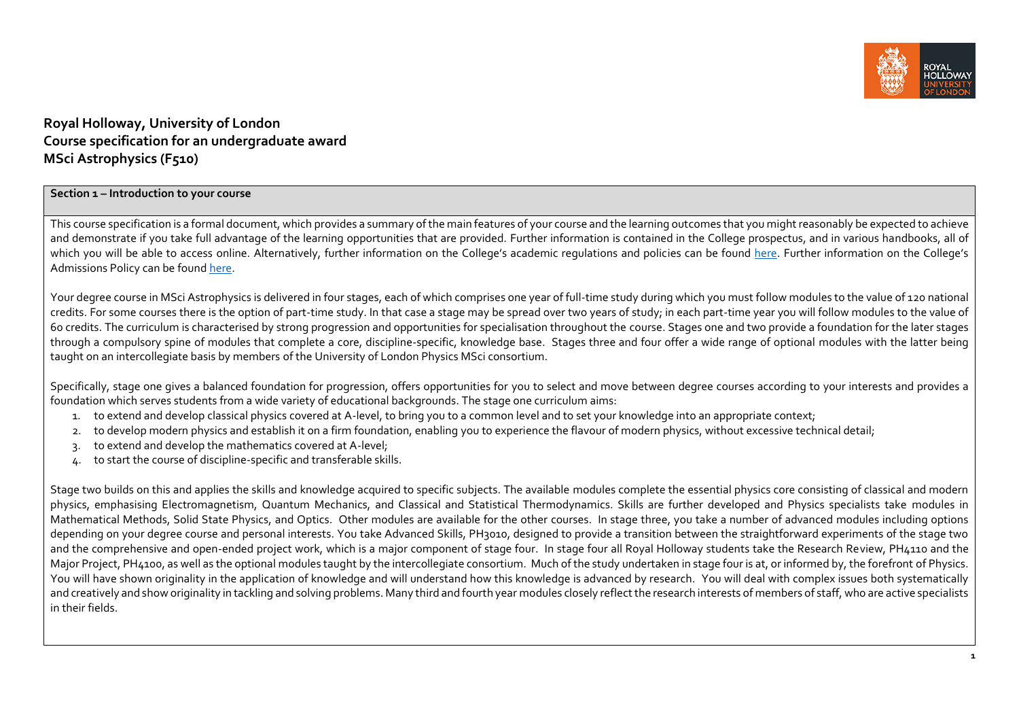

# **Royal Holloway, University of London Course specification for an undergraduate award MSci Astrophysics (F510)**

#### **Section 1 – Introduction to your course**

This course specification is a formal document, which provides a summary of the main features of your course and the learning outcomes that you might reasonably be expected to achieve and demonstrate if you take full advantage of the learning opportunities that are provided. Further information is contained in the College prospectus, and in various handbooks, all of which you will be able to access online. Alternatively, further information on the College's academic regulations and policies can be found [here.](https://intranet.royalholloway.ac.uk/staff/teaching/aqpo/academic-regulations-and-policies/academic-regulations-and-policies.aspx) Further information on the College's Admissions Policy can be found [here.](https://www.royalholloway.ac.uk/studying-here/applying/admissions-policy-and-procedures/)

Your degree course in MSci Astrophysics is delivered in four stages, each of which comprises one year of full-time study during which you must follow modules to the value of 120 national credits. For some courses there is the option of part-time study. In that case a stage may be spread over two years of study; in each part-time year you will follow modules to the value of 60 credits. The curriculum is characterised by strong progression and opportunities for specialisation throughout the course. Stages one and two provide a foundation for the later stages through a compulsory spine of modules that complete a core, discipline-specific, knowledge base. Stages three and four offer a wide range of optional modules with the latter being taught on an intercollegiate basis by members of the University of London Physics MSci consortium.

Specifically, stage one gives a balanced foundation for progression, offers opportunities for you to select and move between degree courses according to your interests and provides a foundation which serves students from a wide variety of educational backgrounds. The stage one curriculum aims:

- 1. to extend and develop classical physics covered at A-level, to bring you to a common level and to set your knowledge into an appropriate context;
- 2. to develop modern physics and establish it on a firm foundation, enabling you to experience the flavour of modern physics, without excessive technical detail;
- 3. to extend and develop the mathematics covered at A-level;
- 4. to start the course of discipline-specific and transferable skills.

Stage two builds on this and applies the skills and knowledge acquired to specific subjects. The available modules complete the essential physics core consisting of classical and modern physics, emphasising Electromagnetism, Quantum Mechanics, and Classical and Statistical Thermodynamics. Skills are further developed and Physics specialists take modules in Mathematical Methods, Solid State Physics, and Optics. Other modules are available for the other courses. In stage three, you take a number of advanced modules including options depending on your degree course and personal interests. You take Advanced Skills, PH3010, designed to provide a transition between the straightforward experiments of the stage two and the comprehensive and open-ended project work, which is a major component of stage four. In stage four all Royal Holloway students take the Research Review, PH4110 and the Major Project, PH4100, as well as the optional modules taught by the intercollegiate consortium. Much of the study undertaken in stage four is at, or informed by, the forefront of Physics. You will have shown originality in the application of knowledge and will understand how this knowledge is advanced by research. You will deal with complex issues both systematically and creatively and show originality in tackling and solving problems. Many third and fourth year modules closely reflect the research interests of members of staff, who are active specialists in their fields.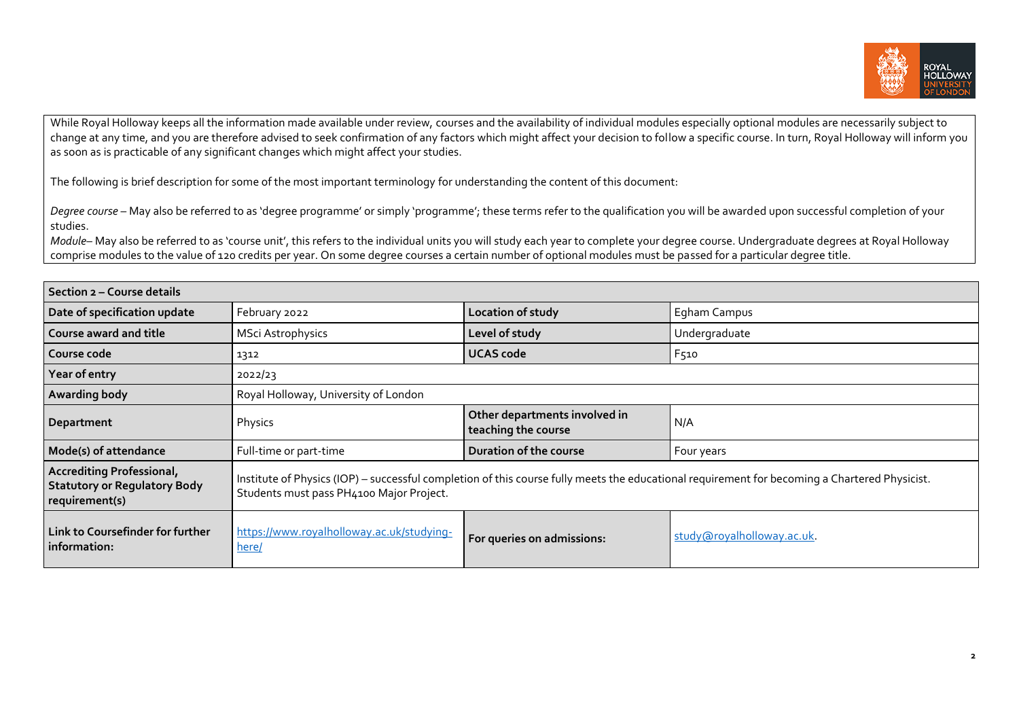

While Royal Holloway keeps all the information made available under review, courses and the availability of individual modules especially optional modules are necessarily subject to change at any time, and you are therefore advised to seek confirmation of any factors which might affect your decision to follow a specific course. In turn, Royal Holloway will inform you as soon as is practicable of any significant changes which might affect your studies.

The following is brief description for some of the most important terminology for understanding the content of this document:

Degree course – May also be referred to as 'degree programme' or simply 'programme'; these terms refer to the qualification you will be awarded upon successful completion of your studies.

*Module*– May also be referred to as 'course unit', this refers to the individual units you will study each year to complete your degree course. Undergraduate degrees at Royal Holloway comprise modules to the value of 120 credits per year. On some degree courses a certain number of optional modules must be passed for a particular degree title.

| Section 2 – Course details                                                                |                                                    |                                                      |                                                                                                                                               |
|-------------------------------------------------------------------------------------------|----------------------------------------------------|------------------------------------------------------|-----------------------------------------------------------------------------------------------------------------------------------------------|
| Date of specification update                                                              | February 2022                                      | Location of study                                    | Egham Campus                                                                                                                                  |
| <b>Course award and title</b>                                                             | <b>MSci Astrophysics</b>                           | Level of study                                       | Undergraduate                                                                                                                                 |
| Course code                                                                               | 1312                                               | <b>UCAS code</b>                                     | F <sub>510</sub>                                                                                                                              |
| Year of entry                                                                             | 2022/23                                            |                                                      |                                                                                                                                               |
| Awarding body                                                                             | Royal Holloway, University of London               |                                                      |                                                                                                                                               |
| Department                                                                                | Physics                                            | Other departments involved in<br>teaching the course | N/A                                                                                                                                           |
| Mode(s) of attendance                                                                     | Full-time or part-time                             | Duration of the course                               | Four years                                                                                                                                    |
| <b>Accrediting Professional,</b><br><b>Statutory or Regulatory Body</b><br>requirement(s) | Students must pass PH4100 Major Project.           |                                                      | Institute of Physics (IOP) - successful completion of this course fully meets the educational requirement for becoming a Chartered Physicist. |
| Link to Coursefinder for further<br>information:                                          | https://www.royalholloway.ac.uk/studying-<br>here/ | For queries on admissions:                           | study@royalholloway.ac.uk.                                                                                                                    |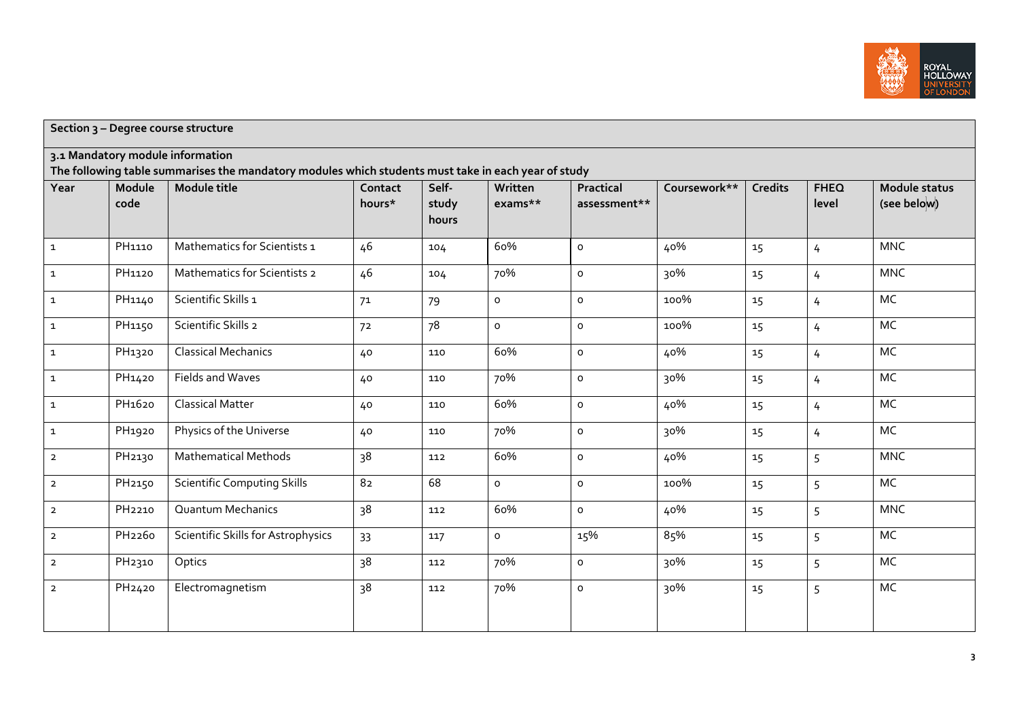

|                |                    | Section 3 - Degree course structure                                                                                 |                   |                         |                    |                           |              |                |                      |                              |
|----------------|--------------------|---------------------------------------------------------------------------------------------------------------------|-------------------|-------------------------|--------------------|---------------------------|--------------|----------------|----------------------|------------------------------|
|                |                    | 3.1 Mandatory module information                                                                                    |                   |                         |                    |                           |              |                |                      |                              |
| Year           | Module<br>code     | The following table summarises the mandatory modules which students must take in each year of study<br>Module title | Contact<br>hours* | Self-<br>study<br>hours | Written<br>exams** | Practical<br>assessment** | Coursework** | <b>Credits</b> | <b>FHEQ</b><br>level | Module status<br>(see below) |
| $\mathbf{1}$   | PH1110             | Mathematics for Scientists 1                                                                                        | 46                | 104                     | 60%                | o                         | 40%          | 15             | $\overline{4}$       | <b>MNC</b>                   |
| $\mathbf{1}$   | PH1120             | Mathematics for Scientists 2                                                                                        | 46                | 104                     | 70%                | o                         | 30%          | 15             | $\overline{4}$       | <b>MNC</b>                   |
| $\mathbf 1$    | PH1140             | Scientific Skills 1                                                                                                 | 71                | 79                      | $\circ$            | o                         | 100%         | 15             | $\overline{4}$       | MC                           |
| $\mathbf{1}$   | PH1150             | Scientific Skills 2                                                                                                 | 72                | 78                      | $\mathsf{o}\,$     | $\mathsf{o}\,$            | 100%         | 15             | $\overline{4}$       | MC                           |
| $\mathbf{1}$   | PH <sub>1320</sub> | <b>Classical Mechanics</b>                                                                                          | 40                | 110                     | 60%                | o                         | 40%          | 15             | $\overline{4}$       | MC                           |
| $\mathbf 1$    | PH1420             | Fields and Waves                                                                                                    | 40                | 110                     | 70%                | $\mathsf{o}$              | 30%          | 15             | $\overline{4}$       | MC                           |
| $\mathbf{1}$   | PH <sub>1620</sub> | <b>Classical Matter</b>                                                                                             | 40                | 110                     | 60%                | o                         | 40%          | 15             | $\overline{4}$       | <b>MC</b>                    |
| $\mathbf{1}$   | PH1920             | Physics of the Universe                                                                                             | 40                | 110                     | 70%                | o                         | 30%          | 15             | $\overline{4}$       | MC                           |
| $\overline{2}$ | PH <sub>2130</sub> | <b>Mathematical Methods</b>                                                                                         | 38                | 112                     | 60%                | o                         | 40%          | 15             | 5                    | <b>MNC</b>                   |
| $\overline{2}$ | PH <sub>2150</sub> | <b>Scientific Computing Skills</b>                                                                                  | 82                | 68                      | $\mathsf{o}\,$     | o                         | 100%         | 15             | 5                    | MC                           |
| $\overline{2}$ | PH <sub>2210</sub> | <b>Quantum Mechanics</b>                                                                                            | 38                | 112                     | 60%                | $\mathsf{o}$              | 40%          | 15             | 5                    | <b>MNC</b>                   |
| $\overline{2}$ | PH <sub>2260</sub> | Scientific Skills for Astrophysics                                                                                  | 33                | 117                     | $\circ$            | 15%                       | 85%          | 15             | 5                    | MC                           |
| $\overline{2}$ | PH <sub>2310</sub> | Optics                                                                                                              | 38                | 112                     | 70%                | o                         | 30%          | 15             | 5                    | MC                           |
| $\overline{2}$ | PH <sub>2420</sub> | Electromagnetism                                                                                                    | 38                | 112                     | 70%                | $\circ$                   | 30%          | 15             | 5                    | MC                           |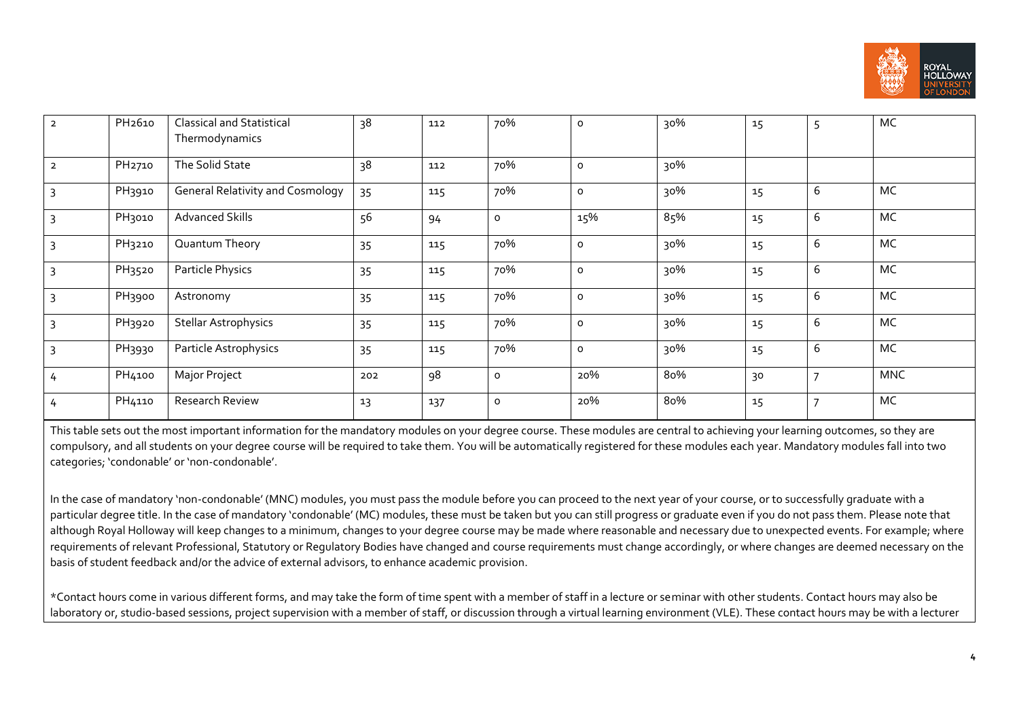

| $\overline{2}$ | PH <sub>2610</sub> | <b>Classical and Statistical</b><br>Thermodynamics | 38  | 112 | 70%            | 0   | 30% | 15 | 5 | MC         |
|----------------|--------------------|----------------------------------------------------|-----|-----|----------------|-----|-----|----|---|------------|
| $\overline{2}$ | PH <sub>2710</sub> | The Solid State                                    | 38  | 112 | 70%            | 0   | 30% |    |   |            |
|                | PH3910             | <b>General Relativity and Cosmology</b>            | 35  | 115 | 70%            | 0   | 30% | 15 | 6 | МC         |
|                | PH <sub>3010</sub> | <b>Advanced Skills</b>                             | 56  | 94  | $\mathsf{o}\,$ | 15% | 85% | 15 | 6 | MC         |
|                | PH3210             | Quantum Theory                                     | 35  | 115 | 70%            | o   | 30% | 15 | 6 | MC         |
| 3              | PH3520             | Particle Physics                                   | 35  | 115 | 70%            | o   | 30% | 15 | 6 | МC         |
|                | PH <sub>3900</sub> | Astronomy                                          | 35  | 115 | 70%            | 0   | 30% | 15 | 6 | МC         |
|                | PH3920             | <b>Stellar Astrophysics</b>                        | 35  | 115 | 70%            | o   | 30% | 15 | 6 | MC         |
| 3              | PH3930             | Particle Astrophysics                              | 35  | 115 | 70%            | o   | 30% | 15 | 6 | MC         |
| 4              | PH <sub>4100</sub> | Major Project                                      | 202 | 98  | $\circ$        | 20% | 80% | 30 |   | <b>MNC</b> |
|                | PH <sub>4110</sub> | Research Review                                    | 13  | 137 | $\circ$        | 20% | 80% | 15 |   | MC         |

This table sets out the most important information for the mandatory modules on your degree course. These modules are central to achieving your learning outcomes, so they are compulsory, and all students on your degree course will be required to take them. You will be automatically registered for these modules each year. Mandatory modules fall into two categories; 'condonable' or 'non-condonable'.

In the case of mandatory 'non-condonable' (MNC) modules, you must pass the module before you can proceed to the next year of your course, or to successfully graduate with a particular degree title. In the case of mandatory 'condonable' (MC) modules, these must be taken but you can still progress or graduate even if you do not pass them. Please note that although Royal Holloway will keep changes to a minimum, changes to your degree course may be made where reasonable and necessary due to unexpected events. For example; where requirements of relevant Professional, Statutory or Requlatory Bodies have changed and course requirements must change accordingly, or where changes are deemed necessary on the basis of student feedback and/or the advice of external advisors, to enhance academic provision.

\*Contact hours come in various different forms, and may take the form of time spent with a member of staff in a lecture or seminar with other students. Contact hours may also be laboratory or, studio-based sessions, project supervision with a member of staff, or discussion through a virtual learning environment (VLE). These contact hours may be with a lecturer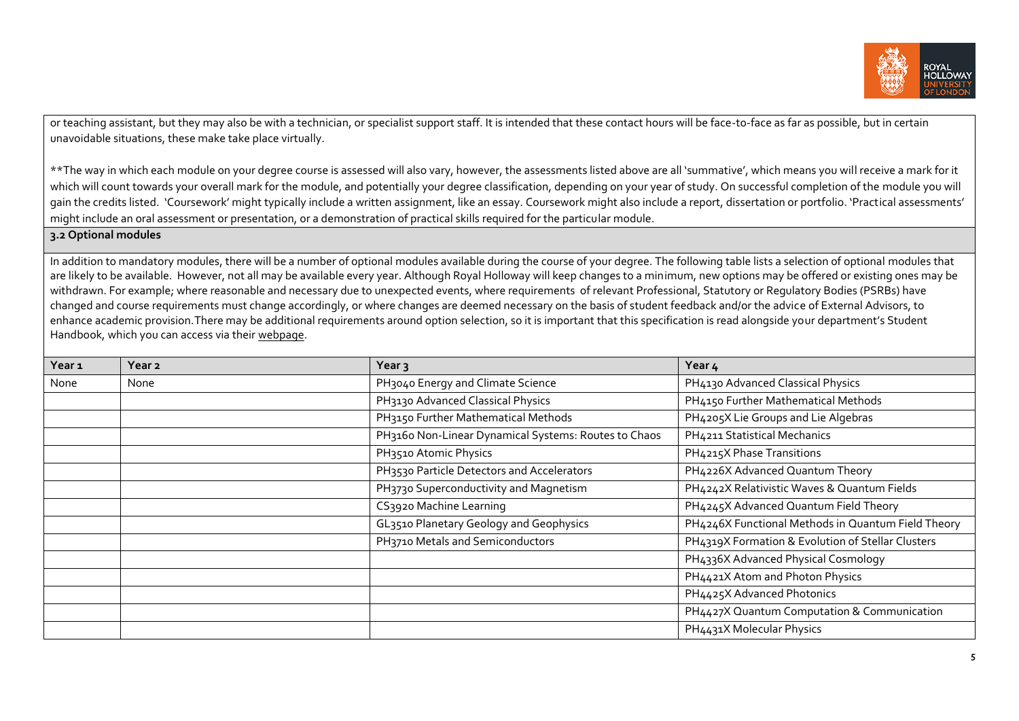

or teaching assistant, but they may also be with a technician, or specialist support staff. It is intended that these contact hours will be face-to-face as far as possible, but in certain unavoidable situations, these make take place virtually.

\*\*The way in which each module on your degree course is assessed will also vary, however, the assessments listed above are all 'summative', which means you will receive a mark for it which will count towards your overall mark for the module, and potentially your degree classification, depending on your year of study. On successful completion of the module you will gain the credits listed. 'Coursework' might typically include a written assignment, like an essay. Coursework might also include a report, dissertation or portfolio. 'Practical assessments' might include an oral assessment or presentation, or a demonstration of practical skills required for the particular module.

**3.2 Optional modules**

In addition to mandatory modules, there will be a number of optional modules available during the course of your degree. The following table lists a selection of optional modules that are likely to be available. However, not all may be available every year. Although Royal Holloway will keep changes to a minimum, new options may be offered or existing ones may be withdrawn. For example; where reasonable and necessary due to unexpected events, where requirements of relevant Professional, Statutory or Requlatory Bodies (PSRBs) have changed and course requirements must change accordingly, or where changes are deemed necessary on the basis of student feedback and/or the advice of External Advisors, to enhance academic provision.There may be additional requirements around option selection, so it is important that this specification is read alongside your department's Student Handbook, which you can access via thei[r webpage.](https://www.royalholloway.ac.uk/research-and-teaching/departments-and-schools/physics/) 

| Year <sub>1</sub> | Year <sub>2</sub> | Year <sub>3</sub>                                    | Year 4                                             |
|-------------------|-------------------|------------------------------------------------------|----------------------------------------------------|
| None              | None              | PH3040 Energy and Climate Science                    | PH4130 Advanced Classical Physics                  |
|                   |                   | PH3130 Advanced Classical Physics                    | PH4150 Further Mathematical Methods                |
|                   |                   | PH3150 Further Mathematical Methods                  | PH4205X Lie Groups and Lie Algebras                |
|                   |                   | PH3160 Non-Linear Dynamical Systems: Routes to Chaos | PH4211 Statistical Mechanics                       |
|                   |                   | PH3510 Atomic Physics                                | PH4215X Phase Transitions                          |
|                   |                   | PH3530 Particle Detectors and Accelerators           | PH4226X Advanced Quantum Theory                    |
|                   |                   | PH3730 Superconductivity and Magnetism               | PH4242X Relativistic Waves & Quantum Fields        |
|                   |                   | CS3920 Machine Learning                              | PH4245X Advanced Quantum Field Theory              |
|                   |                   | GL3510 Planetary Geology and Geophysics              | PH4246X Functional Methods in Quantum Field Theory |
|                   |                   | PH3710 Metals and Semiconductors                     | PH4319X Formation & Evolution of Stellar Clusters  |
|                   |                   |                                                      | PH4336X Advanced Physical Cosmology                |
|                   |                   |                                                      | PH4421X Atom and Photon Physics                    |
|                   |                   |                                                      | PH4425X Advanced Photonics                         |
|                   |                   |                                                      | PH4427X Quantum Computation & Communication        |
|                   |                   |                                                      | PH4431X Molecular Physics                          |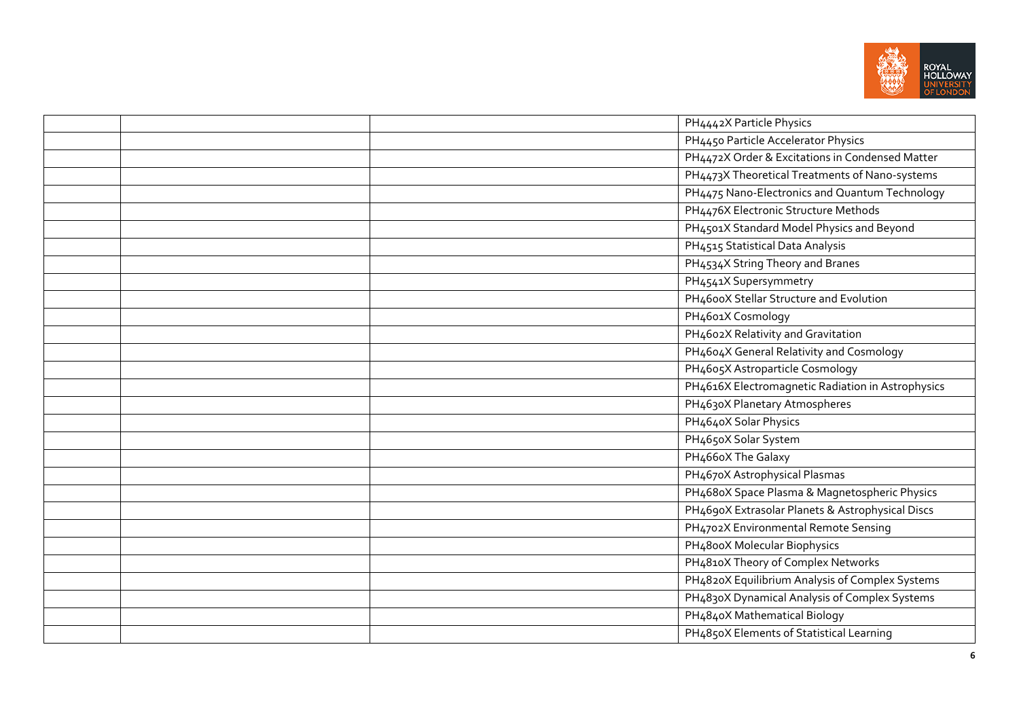

|  | PH4442X Particle Physics                          |
|--|---------------------------------------------------|
|  | PH4450 Particle Accelerator Physics               |
|  | PH4472X Order & Excitations in Condensed Matter   |
|  | PH4473X Theoretical Treatments of Nano-systems    |
|  | PH4475 Nano-Electronics and Quantum Technology    |
|  | PH4476X Electronic Structure Methods              |
|  | PH4501X Standard Model Physics and Beyond         |
|  | PH4515 Statistical Data Analysis                  |
|  | PH4534X String Theory and Branes                  |
|  | PH4541X Supersymmetry                             |
|  | PH4600X Stellar Structure and Evolution           |
|  | PH4601X Cosmology                                 |
|  | PH4602X Relativity and Gravitation                |
|  | PH4604X General Relativity and Cosmology          |
|  | PH4605X Astroparticle Cosmology                   |
|  | PH4616X Electromagnetic Radiation in Astrophysics |
|  | PH4630X Planetary Atmospheres                     |
|  | PH4640X Solar Physics                             |
|  | PH4650X Solar System                              |
|  | PH466oX The Galaxy                                |
|  | PH4670X Astrophysical Plasmas                     |
|  | PH468oX Space Plasma & Magnetospheric Physics     |
|  | PH4690X Extrasolar Planets & Astrophysical Discs  |
|  | PH4702X Environmental Remote Sensing              |
|  | PH4800X Molecular Biophysics                      |
|  | PH4810X Theory of Complex Networks                |
|  | PH4820X Equilibrium Analysis of Complex Systems   |
|  | PH4830X Dynamical Analysis of Complex Systems     |
|  | PH4840X Mathematical Biology                      |
|  | PH4850X Elements of Statistical Learning          |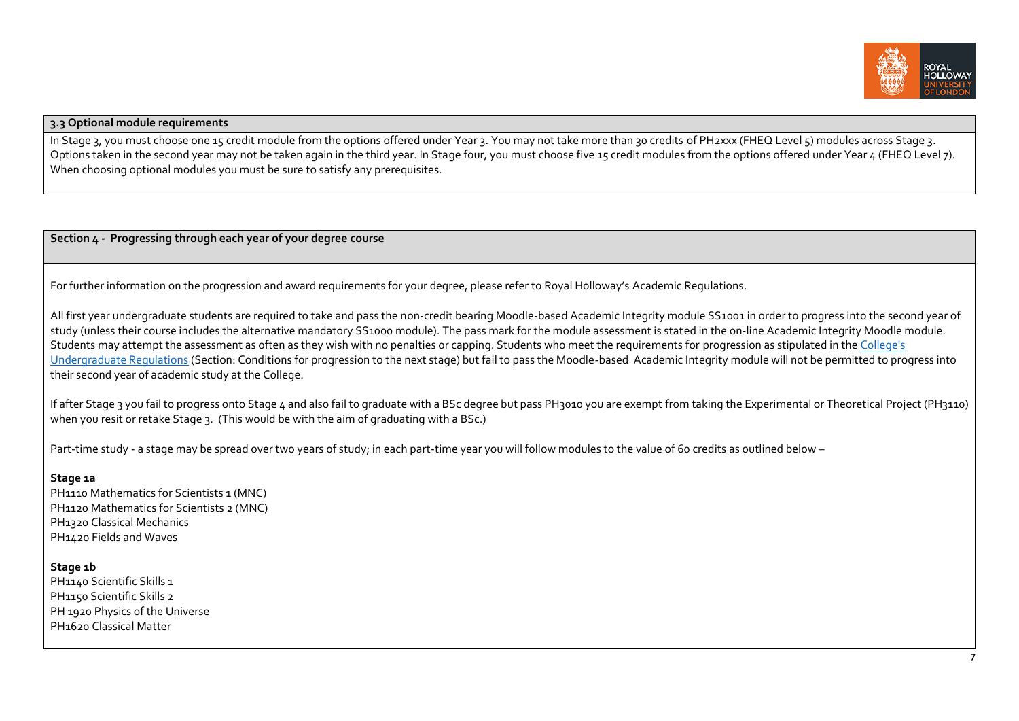

#### **3.3 Optional module requirements**

In Stage 3, you must choose one 15 credit module from the options offered under Year 3. You may not take more than 30 credits of PH2xxx (FHEQ Level 5) modules across Stage 3. Options taken in the second year may not be taken again in the third year. In Stage four, you must choose five 15 credit modules from the options offered under Year 4 (FHEQ Level 7). When choosing optional modules you must be sure to satisfy any prerequisites.

**Section 4 - Progressing through each year of your degree course**

For further information on the progression and award requirements for your degree, please refer to Royal Holloway's [Academic Regulations.](https://www.royalholloway.ac.uk/students/study/our-college-regulations/attendance-and-academic-regulations.aspx)

All first year undergraduate students are required to take and pass the non-credit bearing Moodle-based Academic Integrity module SS1001 in order to progress into the second year of study (unless their course includes the alternative mandatory SS1000 module). The pass mark for the module assessment is stated in the on-line Academic Integrity Moodle module. Students may attempt the assessment as often as they wish with no penalties or capping. Students who meet the requirements for progression as stipulated in the College's [Undergraduate Regulations](https://eur03.safelinks.protection.outlook.com/?url=http%3A%2F%2Fwww.rhul.ac.uk%2Fforstudents%2Fstudying%2Facademicregulations%2Fhome.aspx&data=04%7C01%7CLee.Sheriston%40rhul.ac.uk%7Ccdef6ae6e5f24daf198f08da0c098fd9%7C2efd699a19224e69b601108008d28a2e%7C0%7C0%7C637835532442934224%7CUnknown%7CTWFpbGZsb3d8eyJWIjoiMC4wLjAwMDAiLCJQIjoiV2luMzIiLCJBTiI6Ik1haWwiLCJXVCI6Mn0%3D%7C3000&sdata=817sPHzroi3F75jvI2HUywhf8l9oJbiJFbdy0xek42E%3D&reserved=0) (Section: Conditions for progression to the next stage) but fail to pass the Moodle-based Academic Integrity module will not be permitted to progress into their second year of academic study at the College.

If after Stage 3 you fail to progress onto Stage 4 and also fail to graduate with a BSc degree but pass PH3010 you are exempt from taking the Experimental or Theoretical Project (PH3110) when you resit or retake Stage 3. (This would be with the aim of graduating with a BSc.)

Part-time study - a stage may be spread over two years of study; in each part-time year you will follow modules to the value of 60 credits as outlined below -

#### **Stage 1a**

PH1110 Mathematics for Scientists 1 (MNC) PH1120 Mathematics for Scientists 2 (MNC) PH1320 Classical Mechanics PH1420 Fields and Waves

#### **Stage 1b**

PH<sub>1140</sub> Scientific Skills 1 PH<sub>1150</sub> Scientific Skills 2 PH 1920 Physics of the Universe PH1620 Classical Matter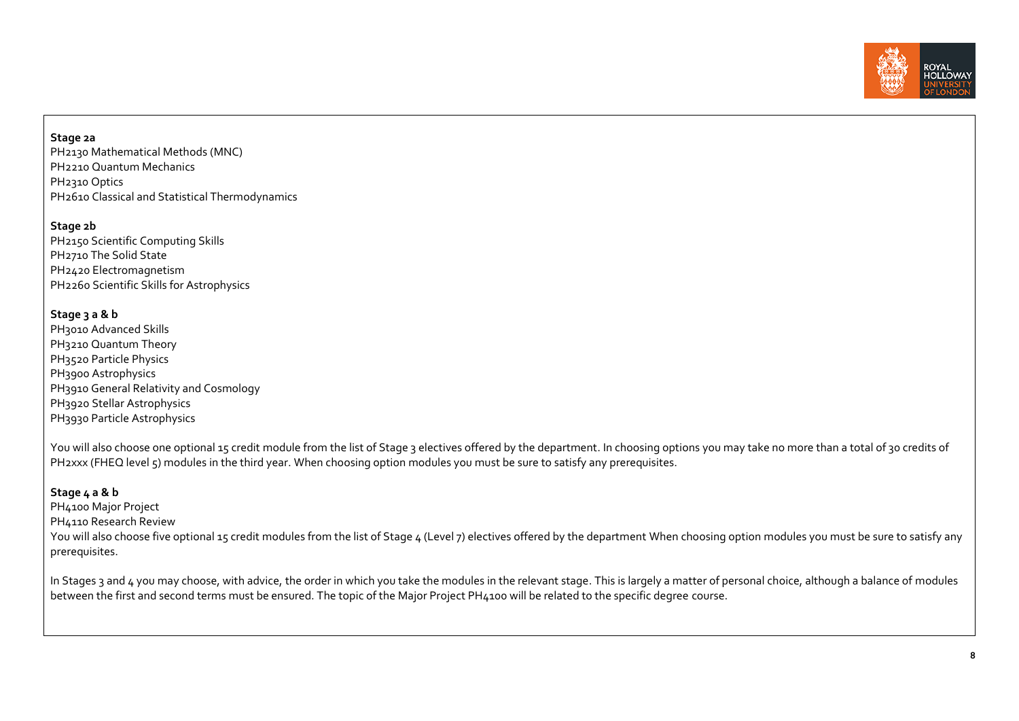

#### **Stage 2a**

PH2130 Mathematical Methods (MNC) PH2210 Quantum Mechanics PH2310 Optics PH2610 Classical and Statistical Thermodynamics

### **Stage 2b**

PH2150 Scientific Computing Skills PH2710 The Solid State PH2420 Electromagnetism PH2260 Scientific Skills for Astrophysics

### **Stage 3 a & b**

PH3010 Advanced Skills PH3210 Quantum Theory PH3520 Particle Physics PH<sub>3900</sub> Astrophysics PH3910 General Relativity and Cosmology PH3920 Stellar Astrophysics PH3930 Particle Astrophysics

You will also choose one optional 15 credit module from the list of Stage 3 electives offered by the department. In choosing options you may take no more than a total of 30 credits of PH2xxx (FHEQ level 5) modules in the third year. When choosing option modules you must be sure to satisfy any prerequisites.

## **Stage 4 a & b**

PH4100 Major Project

PH4110 Research Review

You will also choose five optional 15 credit modules from the list of Stage 4 (Level 7) electives offered by the department When choosing option modules you must be sure to satisfy any prerequisites.

In Stages 3 and 4 you may choose, with advice, the order in which you take the modules in the relevant stage. This is largely a matter of personal choice, although a balance of modules between the first and second terms must be ensured. The topic of the Major Project PH4100 will be related to the specific degree course.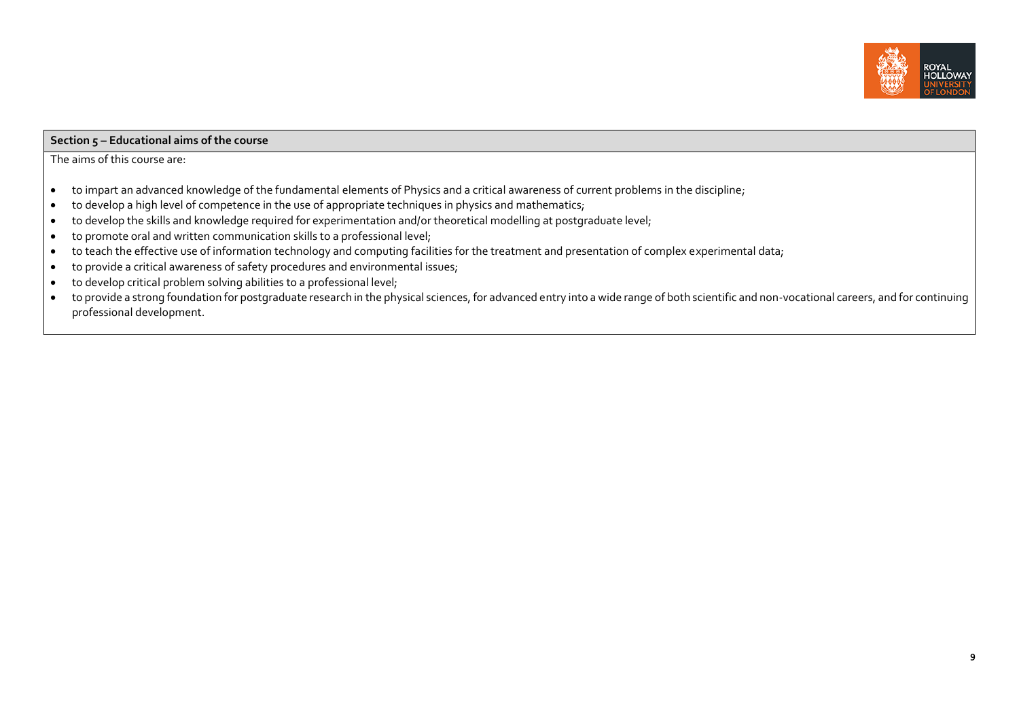

### **Section 5 – Educational aims of the course**

The aims of this course are:

- to impart an advanced knowledge of the fundamental elements of Physics and a critical awareness of current problems in the discipline;
- to develop a high level of competence in the use of appropriate techniques in physics and mathematics;
- to develop the skills and knowledge required for experimentation and/or theoretical modelling at postgraduate level;
- to promote oral and written communication skills to a professional level;
- to teach the effective use of information technology and computing facilities for the treatment and presentation of complex experimental data;
- to provide a critical awareness of safety procedures and environmental issues;
- to develop critical problem solving abilities to a professional level;
- to provide a strong foundation for postgraduate research in the physical sciences, for advanced entry into a wide range of both scientific and non-vocational careers, and for continuing professional development.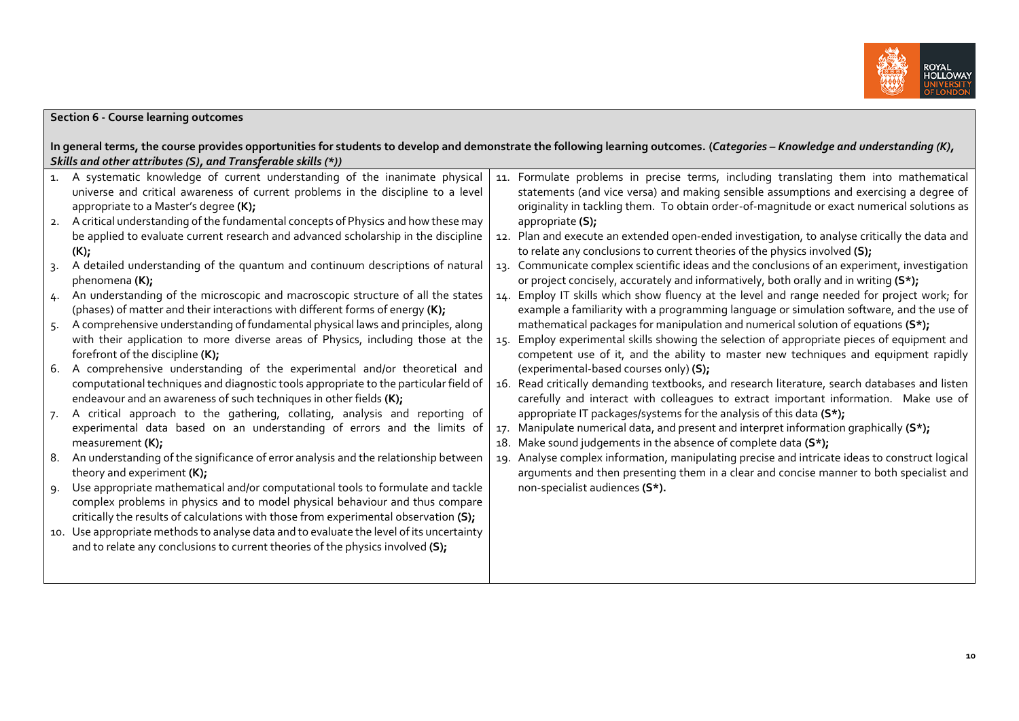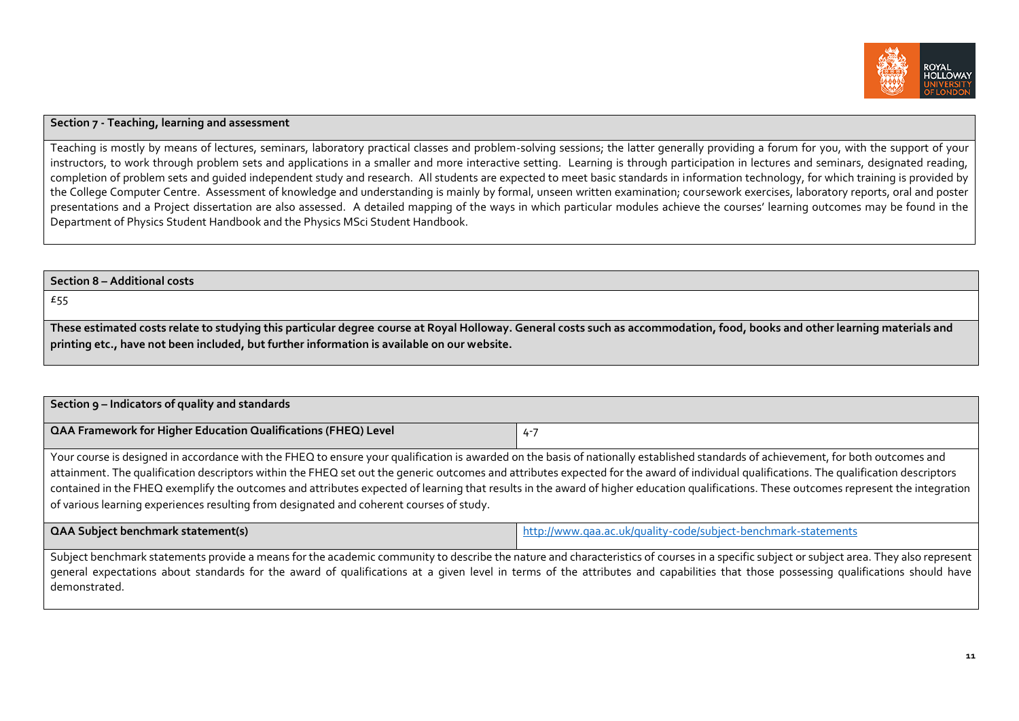

#### **Section 7 - Teaching, learning and assessment**

Teaching is mostly by means of lectures, seminars, laboratory practical classes and problem-solving sessions; the latter generally providing a forum for you, with the support of your instructors, to work through problem sets and applications in a smaller and more interactive setting. Learning is through participation in lectures and seminars, designated reading, completion of problem sets and guided independent study and research. All students are expected to meet basic standards in information technology, for which training is provided by the College Computer Centre. Assessment of knowledge and understanding is mainly by formal, unseen written examination; coursework exercises, laboratory reports, oral and poster presentations and a Project dissertation are also assessed. A detailed mapping of the ways in which particular modules achieve the courses' learning outcomes may be found in the Department of Physics Student Handbook and the Physics MSci Student Handbook.

#### **Section 8 – Additional costs**

£55

**These estimated costs relate to studying this particular degree course at Royal Holloway. General costs such as accommodation, food, books and other learning materials and printing etc., have not been included, but further information is available on our website.**

| Section 9 – Indicators of quality and standards                                                                                                                                          |       |  |  |  |
|------------------------------------------------------------------------------------------------------------------------------------------------------------------------------------------|-------|--|--|--|
| <b>QAA Framework for Higher Education Qualifications (FHEQ) Level</b>                                                                                                                    | $4-7$ |  |  |  |
| Your course is designed in accordance with the FHEQ to ensure your qualification is awarded on the basis of nationally established standards of achievement, for both outcomes and       |       |  |  |  |
| attainment. The qualification descriptors within the FHEQ set out the generic outcomes and attributes expected for the award of individual qualifications. The qualification descriptors |       |  |  |  |
| contained in the FHEQ exemplify the outcomes and attributes expected of learning that results in the award of higher education qualifications. These outcomes represent the integration  |       |  |  |  |
| of various learning experiences resulting from designated and coherent courses of study.                                                                                                 |       |  |  |  |

| QAA Subject benchmark statement(s) | tp://www.gaa.ac.uk/guality-code/subject-benchmark-statements |
|------------------------------------|--------------------------------------------------------------|

Subject benchmark statements provide a means for the academic community to describe the nature and characteristics of courses in a specific subject or subject area. They also represent general expectations about standards for the award of qualifications at a given level in terms of the attributes and capabilities that those possessing qualifications should have demonstrated.